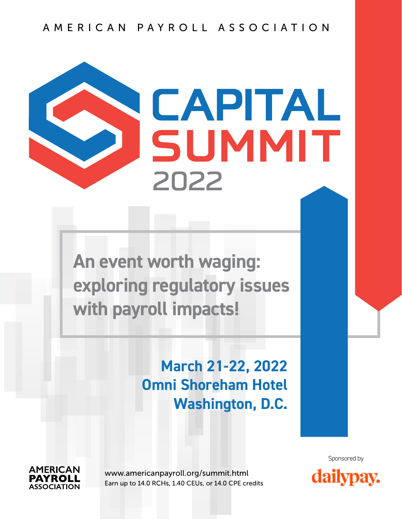## AMERICAN PAYROLL ASSOCIATION

# CAPITAL SUMMIT **2022**

**An event worth waging: exploring regulatory issues with payroll impacts!**

# **March 21-22, 2022 Omni Shoreham Hotel Washington, D.C.**



[www.americanpayroll.org/summit.html](http://www.americanpayroll.org/summit.html) Earn up to 14.0 RCHs, 1.40 CEUs, or 14.0 CPE credits



Sponsored by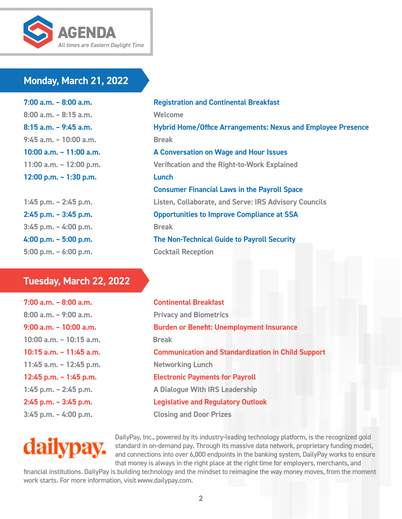

## **Monday, March 21, 2022**

**7:00 a.m. – 8:00 a.m. Registration and Continental Breakfast 8:00 a.m. – 8:15 a.m. Welcome 9:45 a.m. – 10:00 a.m. Break 12:00 p.m. – 1:30 p.m. Lunch**

**3:45 p.m. – 4:00 p.m. Break 5:00 p.m. – 6:00 p.m. Cocktail Reception**

## **Tuesday, March 22, 2022**

**8:00 a.m. – 9:00 a.m. Privacy and Biometrics 10:00 a.m. – 10:15 a.m. Break 11:45 a.m. – 12:45 p.m. Networking Lunch**

**8:15 a.m. – 9:45 a.m. Hybrid Home/Office Arrangements: Nexus and Employee Presence 10:00 a.m. – 11:00 a.m. A Conversation on Wage and Hour Issues 11:00 a.m. – 12:00 p.m. Verification and the Right-to-Work Explained Consumer Financial Laws in the Payroll Space 1:45 p.m. – 2:45 p.m. Listen, Collaborate, and Serve: IRS Advisory Councils 2:45 p.m. – 3:45 p.m. Opportunities to Improve Compliance at SSA 4:00 p.m. – 5:00 p.m. The Non-Technical Guide to Payroll Security**

**7:00 a.m. – 8:00 a.m. Continental Breakfast 9:00 a.m. – 10:00 a.m. Burden or Benefit: Unemployment Insurance 10:15 a.m. – 11:45 a.m. Communication and Standardization in Child Support 12:45 p.m. – 1:45 p.m. Electronic Payments for Payroll 1:45 p.m. – 2:45 p.m. A Dialogue With IRS Leadership 2:45 p.m. – 3:45 p.m. Legislative and Regulatory Outlook 3:45 p.m. – 4:00 p.m. Closing and Door Prizes**

dailypa

DailyPay, Inc., powered by its industry-leading technology platform, is the recognized gold standard in on-demand pay. Through its massive data network, proprietary funding model, and connections into over 6,000 endpoints in the banking system, DailyPay works to ensure that money is always in the right place at the right time for employers, merchants, and

financial institutions. DailyPay is building technology and the mindset to reimagine the way money moves, from the moment work starts. For more information, visit [www.dailypay.com](http://www.dailypay.com).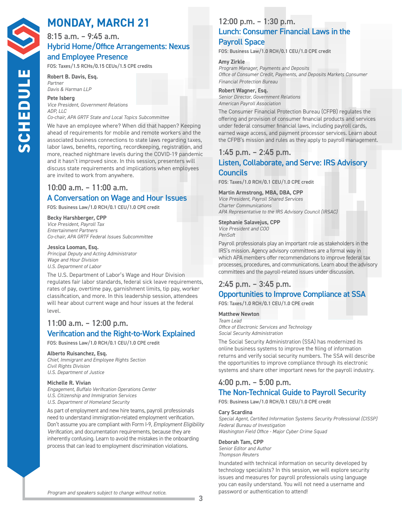# **MONDAY, MARCH 21**

## 8:15 a.m. – 9:45 a.m. Hybrid Home/Office Arrangements: Nexus and Employee Presence

FOS: Taxes/1.5 RCHs/0.15 CEUs/1.5 CPE credits

#### **Robert B. Davis, Esq.**  *Partner Davis & Harman LLP*

**Pete Isberg**  *Vice President, Government Relations ADP, LLC Co-chair, APA GRTF State and Local Topics Subcommittee*

We have an employee where? When did that happen? Keeping ahead of requirements for mobile and remote workers and the associated business connections to state laws regarding taxes, labor laws, benefits, reporting, recordkeeping, registration, and more, reached nightmare levels during the COVID-19 pandemic and it hasn't improved since. In this session, presenters will discuss state requirements and implications when employees are invited to work from anywhere.

## 10:00 a.m. – 11:00 a.m. A Conversation on Wage and Hour Issues

FOS: Business Law/1.0 RCH/0.1 CEU/1.0 CPE credit

#### **Becky Harshberger, CPP**

*Vice President, Payroll Tax Entertainment Partners Co-chair, APA GRTF Federal Issues Subcommittee*

#### **Jessica Looman, Esq.**

*Principal Deputy and Acting Administrator Wage and Hour Division U.S. Department of Labor*

The U.S. Department of Labor's Wage and Hour Division regulates fair labor standards, federal sick leave requirements, rates of pay, overtime pay, garnishment limits, tip pay, worker classification, and more. In this leadership session, attendees will hear about current wage and hour issues at the federal level.

## 11:00 a.m. – 12:00 p.m. Verification and the Right-to-Work Explained

FOS: Business Law/1.0 RCH/0.1 CEU/1.0 CPE credit

#### **Alberto Ruisanchez, Esq.**

*Chief, Immigrant and Employee Rights Section Civil Rights Division U.S. Department of Justice*

#### **Michelle R. Vivian**

*Engagement, Buffalo Verification Operations Center U.S. Citizenship and Immigration Services U.S. Department of Homeland Security*

As part of employment and new hire teams, payroll professionals need to understand immigration-related employment verification. Don't assume you are compliant with Form I-9, *Employment Eligibility Verification*, and documentation requirements, because they are inherently confusing. Learn to avoid the mistakes in the onboarding process that can lead to employment discrimination violations.

## 12:00 p.m. – 1:30 p.m. Lunch: Consumer Financial Laws in the

## Payroll Space

FOS: Business Law/1.0 RCH/0.1 CEU/1.0 CPE credit

#### **Amy Zirkle**

*Program Manager, Payments and Deposits Office of Consumer Credit, Payments, and Deposits Markets Consumer Financial Protection Bureau*

#### **Robert Wagner, Esq.**

*Senior Director, Government Relations American Payroll Association*

The Consumer Financial Protection Bureau (CFPB) regulates the offering and provision of consumer financial products and services under federal consumer financial laws, including payroll cards, earned wage access, and payment processor services. Learn about the CFPB's mission and rules as they apply to payroll management.

## 1:45 p.m. – 2:45 p.m.

## Listen, Collaborate, and Serve: IRS Advisory **Councils**

FOS: Taxes/1.0 RCH/0.1 CEU/1.0 CPE credit

## **Martin Armstrong, MBA, DBA, CPP**

*Vice President, Payroll Shared Services Charter Communications APA Representative to the IRS Advisory Council (IRSAC)*

## **Stephanie Salavejus, CPP**

*Vice President and COO PenSoft*

Payroll professionals play an important role as stakeholders in the IRS's mission. Agency advisory committees are a formal way in which APA members offer recommendations to improve federal tax processes, procedures, and communications. Learn about the advisory committees and the payroll-related issues under discussion.

# 2:45 p.m. – 3:45 p.m.

## Opportunities to Improve Compliance at SSA

FOS: Taxes/1.0 RCH/0.1 CEU/1.0 CPE credit

## **Matthew Newton**

*Team Lead Office of Electronic Services and Technology Social Security Administration*

The Social Security Administration (SSA) has modernized its online business systems to improve the filing of information returns and verify social security numbers. The SSA will describe the opportunities to improve compliance through its electronic systems and share other important news for the payroll industry.

## 4:00 p.m. – 5:00 p.m.

## The Non-Technical Guide to Payroll Security

FOS: Business Law/1.0 RCH/0.1 CEU/1.0 CPE credit

#### **Cary Scardina**

*Special Agent, Certified Information Systems Security Professional (CISSP) Federal Bureau of Investigation Washington Field Office - Major Cyber Crime Squad*

## **Deborah Tam, CPP**

*Senior Editor and Author Thompson Reuters*

Inundated with technical information on security developed by technology specialists? In this session, we will explore security issues and measures for payroll professionals using language you can easily understand. You will not need a username and password or authentication to attend!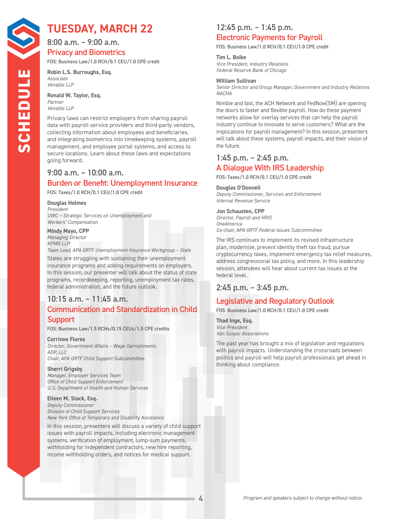# **TUESDAY, MARCH 22**

8:00 a.m. – 9:00 a.m. Privacy and Biometrics

FOS: Business Law/1.0 RCH/0.1 CEU/1.0 CPE credit

**Robin L.S. Burroughs, Esq.**  *Associate Venable LLP* 

**Ronald W. Taylor, Esq.**  *Partner*

*Venable LLP*

Privacy laws can restrict employers from sharing payroll data with payroll service providers and third-party vendors, collecting information about employees and beneficiaries, and integrating biometrics into timekeeping systems, payroll management, and employee portal systems, and access to secure locations. Learn about these laws and expectations going forward.

## 9:00 a.m. – 10:00 a.m. Burden or Benefit: Unemployment Insurance

FOS: Taxes/1.0 RCH/0.1 CEU/1.0 CPE credit

#### **Douglas Holmes**

*President UWC – Strategic Services on Unemployment and Workers' Compensation*

#### **Mindy Mayo, CPP**

*Managing Director KPMG LLP Team Lead, APA GRTF Unemployment Insurance Workgroup – State*

States are struggling with sustaining their unemployment insurance programs and adding requirements on employers. In this session, our presenter will talk about the status of state programs, recordkeeping, reporting, unemployment tax rates, federal administration, and the future outlook.

# 10:15 a.m. – 11:45 a.m.

## Communication and Standardization in Child Support

FOS: Business Law/1.5 RCHs/0.15 CEUs/1.5 CPE credits

#### **Corrinne Flores**

*Director, Government Affairs – Wage Garnishments ADP, LLC Chair, APA GRTF Child Support Subcommittee*

#### **Sherri Grigsby**

*Manager, Employer Services Team Office of Child Support Enforcement U.S. Department of Health and Human Services*

#### **Eileen M. Stack, Esq.**

*Deputy Commissioner Division of Child Support Services New York Office of Temporary and Disability Assistance* 

In this session, presenters will discuss a variety of child support issues with payroll impacts, including electronic management systems, verification of employment, lump-sum payments, withholding for independent contractors, new hire reporting, income withholding orders, and notices for medical support.

## 12:45 p.m. – 1:45 p.m. Electronic Payments for Payroll

FOS: Business Law/1.0 RCH/0.1 CEU/1.0 CPE credit

#### **Tim L. Boike**

*Vice President, Industry Relations Federal Reserve Bank of Chicago* 

#### **William Sullivan**

*Senior Director and Group Manager, Government and Industry Relations NACHA*

Nimble and fast, the ACH Network and FedNow(SM) are opening the doors to faster and flexible payroll. How do these payment networks allow for overlay services that can help the payroll industry continue to innovate to serve customers? What are the implications for payroll management? In this session, presenters will talk about these systems, payroll impacts, and their vision of the future.

## 1:45 p.m. – 2:45 p.m. A Dialogue With IRS Leadership

FOS: Taxes/1.0 RCH/0.1 CEU/1.0 CPE credit

#### **Douglas O'Donnell**

*Deputy Commissioner, Services and Enforcement Internal Revenue Service* 

#### **Jon Schausten, CPP**

*Director, Payroll and HRIS OneAmerica Co-chair, APA GRTF Federal Issues Subcommittee*

The IRS continues to implement its revised infrastructure plan, modernize, prevent identity theft tax fraud, pursue cryptocurrency taxes, implement emergency tax relief measures, address congressional tax policy, and more. In this leadership session, attendees will hear about current tax issues at the federal level.

## 2:45 p.m. – 3:45 p.m.

## Legislative and Regulatory Outlook

FOS: Business Law/1.0 RCH/0.1 CEU/1.0 CPE credit

**Thad Inge, Esq.**  *Vice President Van Scoyoc Associations*

The past year has brought a mix of legislation and regulations with payroll impacts. Understanding the crossroads between politics and payroll will help payroll professionals get ahead in thinking about compliance.